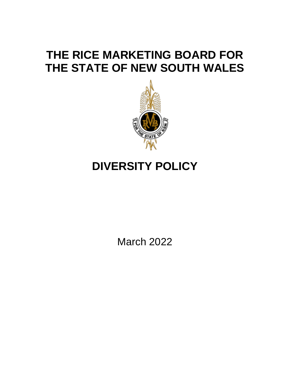## **THE RICE MARKETING BOARD FOR THE STATE OF NEW SOUTH WALES**



# **DIVERSITY POLICY**

March 2022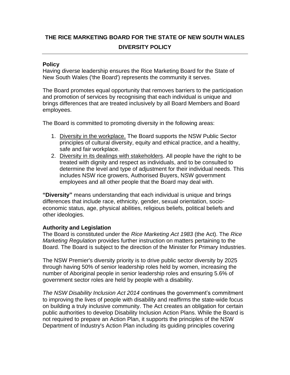### **THE RICE MARKETING BOARD FOR THE STATE OF NEW SOUTH WALES DIVERSITY POLICY**

#### **Policy**

Having diverse leadership ensures the Rice Marketing Board for the State of New South Wales ('the Board') represents the community it serves.

The Board promotes equal opportunity that removes barriers to the participation and promotion of services by recognising that each individual is unique and brings differences that are treated inclusively by all Board Members and Board employees.

The Board is committed to promoting diversity in the following areas:

- 1. Diversity in the workplace. The Board supports the NSW Public Sector principles of cultural diversity, equity and ethical practice, and a healthy, safe and fair workplace.
- 2. Diversity in its dealings with stakeholders. All people have the right to be treated with dignity and respect as individuals, and to be consulted to determine the level and type of adjustment for their individual needs. This includes NSW rice growers, Authorised Buyers, NSW government employees and all other people that the Board may deal with.

**"Diversity"** means understanding that each individual is unique and brings differences that include race, ethnicity, gender, sexual orientation, socioeconomic status, age, physical abilities, religious beliefs, political beliefs and other ideologies.

#### **Authority and Legislation**

The Board is constituted under the *Rice Marketing Act 1983* (the Act). The *Rice Marketing Regulation* provides further instruction on matters pertaining to the Board. The Board is subject to the direction of the Minister for Primary Industries.

The NSW Premier's diversity priority is to drive public sector diversity by 2025 through having 50% of senior leadership roles held by women, increasing the number of Aboriginal people in senior leadership roles and ensuring 5.6% of government sector roles are held by people with a disability.

*The NSW Disability Inclusion Act 2014* continues the government's commitment to improving the lives of people with disability and reaffirms the state-wide focus on building a truly inclusive community. The Act creates an obligation for certain public authorities to develop Disability Inclusion Action Plans. While the Board is not required to prepare an Action Plan, it supports the principles of the NSW Department of Industry's Action Plan including its guiding principles covering